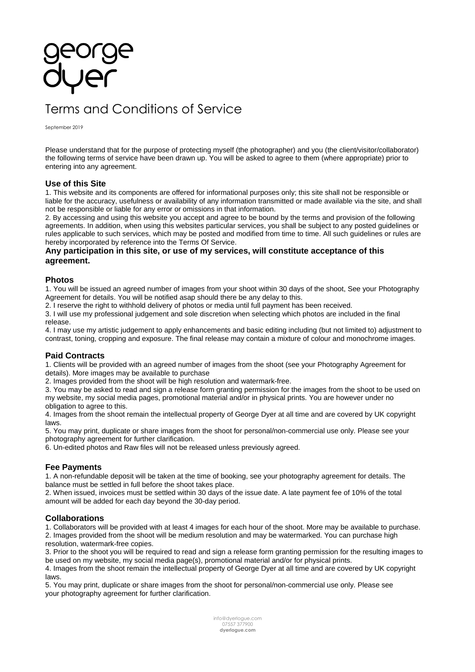# Terms and Conditions of Service

September 2019

Please understand that for the purpose of protecting myself (the photographer) and you (the client/visitor/collaborator) the following terms of service have been drawn up. You will be asked to agree to them (where appropriate) prior to entering into any agreement.

## **Use of this Site**

1. This website and its components are offered for informational purposes only; this site shall not be responsible or liable for the accuracy, usefulness or availability of any information transmitted or made available via the site, and shall not be responsible or liable for any error or omissions in that information.

2. By accessing and using this website you accept and agree to be bound by the terms and provision of the following agreements. In addition, when using this websites particular services, you shall be subject to any posted guidelines or rules applicable to such services, which may be posted and modified from time to time. All such guidelines or rules are hereby incorporated by reference into the Terms Of Service.

## **Any participation in this site, or use of my services, will constitute acceptance of this agreement.**

### **Photos**

1. You will be issued an agreed number of images from your shoot within 30 days of the shoot, See your Photography Agreement for details. You will be notified asap should there be any delay to this.

2. I reserve the right to withhold delivery of photos or media until full payment has been received.

3. I will use my professional judgement and sole discretion when selecting which photos are included in the final release.

4. I may use my artistic judgement to apply enhancements and basic editing including (but not limited to) adjustment to contrast, toning, cropping and exposure. The final release may contain a mixture of colour and monochrome images.

## **Paid Contracts**

1. Clients will be provided with an agreed number of images from the shoot (see your Photography Agreement for details). More images may be available to purchase

2. Images provided from the shoot will be high resolution and watermark-free.

3. You may be asked to read and sign a release form granting permission for the images from the shoot to be used on my website, my social media pages, promotional material and/or in physical prints. You are however under no obligation to agree to this.

4. Images from the shoot remain the intellectual property of George Dyer at all time and are covered by UK copyright laws.

5. You may print, duplicate or share images from the shoot for personal/non-commercial use only. Please see your photography agreement for further clarification.

6. Un-edited photos and Raw files will not be released unless previously agreed.

## **Fee Payments**

1. A non-refundable deposit will be taken at the time of booking, see your photography agreement for details. The balance must be settled in full before the shoot takes place.

2. When issued, invoices must be settled within 30 days of the issue date. A late payment fee of 10% of the total amount will be added for each day beyond the 30-day period.

## **Collaborations**

1. Collaborators will be provided with at least 4 images for each hour of the shoot. More may be available to purchase. 2. Images provided from the shoot will be medium resolution and may be watermarked. You can purchase high resolution, watermark-free copies.

3. Prior to the shoot you will be required to read and sign a release form granting permission for the resulting images to be used on my website, my social media page(s), promotional material and/or for physical prints.

4. Images from the shoot remain the intellectual property of George Dyer at all time and are covered by UK copyright laws.

5. You may print, duplicate or share images from the shoot for personal/non-commercial use only. Please see your photography agreement for further clarification.

> [info@dyerlogue.com](mailto:info@dyerlogue.com?subject=Enquiry%20/%20Request%20for%20services) 07557 377900 **[dyerlogue.com](https://www.dyerlogue.com/)**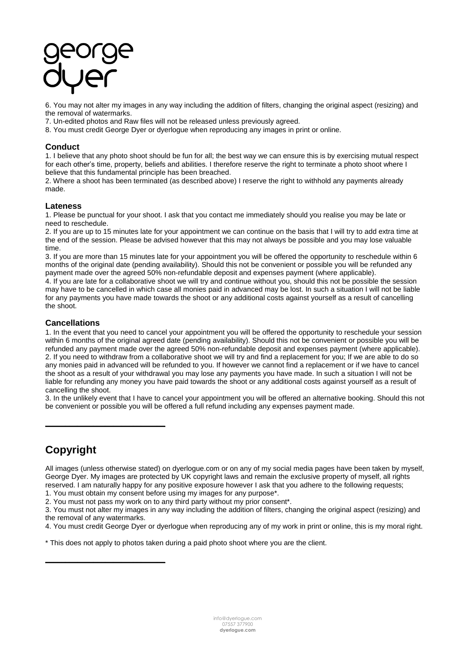6. You may not alter my images in any way including the addition of filters, changing the original aspect (resizing) and the removal of watermarks.

7. Un-edited photos and Raw files will not be released unless previously agreed.

8. You must credit George Dyer or dyerlogue when reproducing any images in print or online.

## **Conduct**

1. I believe that any photo shoot should be fun for all; the best way we can ensure this is by exercising mutual respect for each other's time, property, beliefs and abilities. I therefore reserve the right to terminate a photo shoot where I believe that this fundamental principle has been breached.

2. Where a shoot has been terminated (as described above) I reserve the right to withhold any payments already made.

## **Lateness**

1. Please be punctual for your shoot. I ask that you contact me immediately should you realise you may be late or need to reschedule.

2. If you are up to 15 minutes late for your appointment we can continue on the basis that I will try to add extra time at the end of the session. Please be advised however that this may not always be possible and you may lose valuable time.

3. If you are more than 15 minutes late for your appointment you will be offered the opportunity to reschedule within 6 months of the original date (pending availability). Should this not be convenient or possible you will be refunded any payment made over the agreed 50% non-refundable deposit and expenses payment (where applicable).

4. If you are late for a collaborative shoot we will try and continue without you, should this not be possible the session may have to be cancelled in which case all monies paid in advanced may be lost. In such a situation I will not be liable for any payments you have made towards the shoot or any additional costs against yourself as a result of cancelling the shoot.

## **Cancellations**

1. In the event that you need to cancel your appointment you will be offered the opportunity to reschedule your session within 6 months of the original agreed date (pending availability). Should this not be convenient or possible you will be refunded any payment made over the agreed 50% non-refundable deposit and expenses payment (where applicable). 2. If you need to withdraw from a collaborative shoot we will try and find a replacement for you; If we are able to do so any monies paid in advanced will be refunded to you. If however we cannot find a replacement or if we have to cancel the shoot as a result of your withdrawal you may lose any payments you have made. In such a situation I will not be liable for refunding any money you have paid towards the shoot or any additional costs against yourself as a result of cancelling the shoot.

3. In the unlikely event that I have to cancel your appointment you will be offered an alternative booking. Should this not be convenient or possible you will be offered a full refund including any expenses payment made.

## **Copyright**

**[\\_\\_\\_\\_\\_\\_\\_\\_\\_\\_\\_\\_\\_\\_\\_\\_\\_\\_\\_\\_\\_\\_\\_\\_\\_\\_\\_\\_\\_\\_](https://docs.wixstatic.com/ugd/99088a_48e51a65d8ed46b1a0b178b9c10fb425.pdf)**

**[\\_\\_\\_\\_\\_\\_\\_\\_\\_\\_\\_\\_\\_\\_\\_\\_\\_\\_\\_\\_\\_\\_\\_\\_\\_\\_\\_\\_\\_\\_](https://docs.wixstatic.com/ugd/99088a_48e51a65d8ed46b1a0b178b9c10fb425.pdf)**

All images (unless otherwise stated) on dyerlogue.com or on any of my social media pages have been taken by myself, George Dyer. My images are protected by UK copyright laws and remain the exclusive property of myself, all rights reserved. I am naturally happy for any positive exposure however I ask that you adhere to the following requests; 1. You must obtain my consent before using my images for any purpose\*.

2. You must not pass my work on to any third party without my prior consent\*.

3. You must not alter my images in any way including the addition of filters, changing the original aspect (resizing) and the removal of any watermarks.

4. You must credit George Dyer or dyerlogue when reproducing any of my work in print or online, this is my moral right.

\* This does not apply to photos taken during a paid photo shoot where you are the client.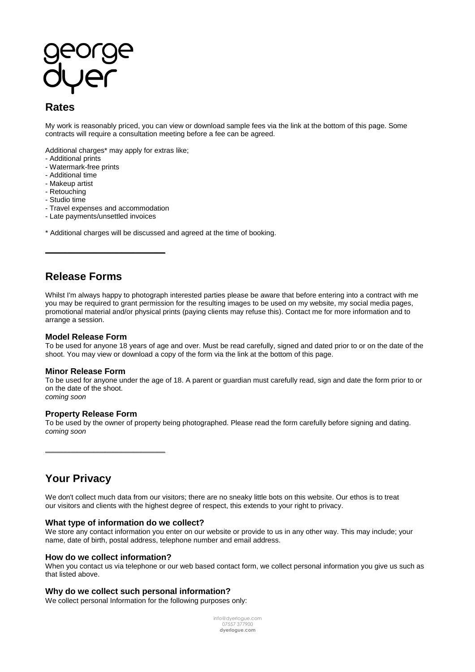## **Rates**

My work is reasonably priced, you can view or download sample fees via the link at the bottom of this page. Some contracts will require a consultation meeting before a fee can be agreed.

Additional charges\* may apply for extras like;

- Additional prints
- Watermark-free prints
- Additional time
- Makeup artist
- Retouching
- Studio time
- Travel expenses and accommodation

**[\\_\\_\\_\\_\\_\\_\\_\\_\\_\\_\\_\\_\\_\\_\\_\\_\\_\\_\\_\\_\\_\\_\\_\\_\\_\\_\\_\\_\\_\\_](https://docs.wixstatic.com/ugd/99088a_48e51a65d8ed46b1a0b178b9c10fb425.pdf)**

- Late payments/unsettled invoices
- \* Additional charges will be discussed and agreed at the time of booking.

## **Release Forms**

Whilst I'm always happy to photograph interested parties please be aware that before entering into a contract with me you may be required to grant permission for the resulting images to be used on my website, my social media pages, promotional material and/or physical prints (paying clients may refuse this). Contact me for more information and to arrange a session.

### **Model Release Form**

To be used for anyone 18 years of age and over. Must be read carefully, signed and dated prior to or on the date of the shoot. You may view or download a copy of the form via the link at the bottom of this page.

## **Minor Release Form**

To be used for anyone under the age of 18. A parent or guardian must carefully read, sign and date the form prior to or on the date of the shoot. *coming soon*

## **Property Release Form**

**[\\_\\_\\_\\_\\_\\_\\_\\_\\_\\_\\_\\_\\_\\_\\_\\_\\_\\_\\_\\_\\_\\_\\_\\_\\_\\_\\_\\_\\_\\_](https://docs.wixstatic.com/ugd/99088a_48e51a65d8ed46b1a0b178b9c10fb425.pdf)**

To be used by the owner of property being photographed. Please read the form carefully before signing and dating. *coming soon*

**Your Privacy**

We don't collect much data from our visitors; there are no sneaky little bots on this website. Our ethos is to treat our visitors and clients with the highest degree of respect, this extends to your right to privacy.

## **What type of information do we collect?**

We store any contact information you enter on our website or provide to us in any other way. This may include; your name, date of birth, postal address, telephone number and email address.

### **How do we collect information?**

When you contact us via telephone or our web based contact form, we collect personal information you give us such as that listed above.

### **Why do we collect such personal information?**

We collect personal Information for the following purposes only:

[info@dyerlogue.com](mailto:info@dyerlogue.com?subject=Enquiry%20/%20Request%20for%20services) 07557 377900 **[dyerlogue.com](https://www.dyerlogue.com/)**